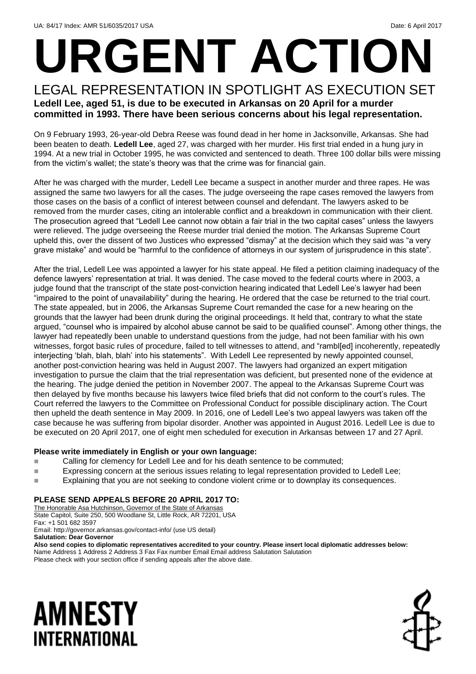# **URGENT ACTION**

#### LEGAL REPRESENTATION IN SPOTLIGHT AS EXECUTION SET **Ledell Lee, aged 51, is due to be executed in Arkansas on 20 April for a murder committed in 1993. There have been serious concerns about his legal representation.**

On 9 February 1993, 26-year-old Debra Reese was found dead in her home in Jacksonville, Arkansas. She had been beaten to death. **Ledell Lee**, aged 27, was charged with her murder. His first trial ended in a hung jury in 1994. At a new trial in October 1995, he was convicted and sentenced to death. Three 100 dollar bills were missing from the victim's wallet; the state's theory was that the crime was for financial gain.

After he was charged with the murder, Ledell Lee became a suspect in another murder and three rapes. He was assigned the same two lawyers for all the cases. The judge overseeing the rape cases removed the lawyers from those cases on the basis of a conflict of interest between counsel and defendant. The lawyers asked to be removed from the murder cases, citing an intolerable conflict and a breakdown in communication with their client. The prosecution agreed that "Ledell Lee cannot now obtain a fair trial in the two capital cases" unless the lawyers were relieved. The judge overseeing the Reese murder trial denied the motion. The Arkansas Supreme Court upheld this, over the dissent of two Justices who expressed "dismay" at the decision which they said was "a very grave mistake" and would be "harmful to the confidence of attorneys in our system of jurisprudence in this state".

After the trial, Ledell Lee was appointed a lawyer for his state appeal. He filed a petition claiming inadequacy of the defence lawyers' representation at trial. It was denied. The case moved to the federal courts where in 2003, a judge found that the transcript of the state post-conviction hearing indicated that Ledell Lee's lawyer had been "impaired to the point of unavailability" during the hearing. He ordered that the case be returned to the trial court. The state appealed, but in 2006, the Arkansas Supreme Court remanded the case for a new hearing on the grounds that the lawyer had been drunk during the original proceedings. It held that, contrary to what the state argued, "counsel who is impaired by alcohol abuse cannot be said to be qualified counsel". Among other things, the lawyer had repeatedly been unable to understand questions from the judge, had not been familiar with his own witnesses, forgot basic rules of procedure, failed to tell witnesses to attend, and "rambl[ed] incoherently, repeatedly interjecting 'blah, blah, blah' into his statements". With Ledell Lee represented by newly appointed counsel, another post-conviction hearing was held in August 2007. The lawyers had organized an expert mitigation investigation to pursue the claim that the trial representation was deficient, but presented none of the evidence at the hearing. The judge denied the petition in November 2007. The appeal to the Arkansas Supreme Court was then delayed by five months because his lawyers twice filed briefs that did not conform to the court's rules. The Court referred the lawyers to the Committee on Professional Conduct for possible disciplinary action. The Court then upheld the death sentence in May 2009. In 2016, one of Ledell Lee's two appeal lawyers was taken off the case because he was suffering from bipolar disorder. Another was appointed in August 2016. Ledell Lee is due to be executed on 20 April 2017, one of eight men scheduled for execution in Arkansas between 17 and 27 April.

#### **Please write immediately in English or your own language:**

- Calling for clemency for Ledell Lee and for his death sentence to be commuted;
- **Expressing concern at the serious issues relating to legal representation provided to Ledell Lee;**
- **Explaining that you are not seeking to condone violent crime or to downplay its consequences.**

#### **PLEASE SEND APPEALS BEFORE 20 APRIL 2017 TO:**

The Honorable Asa Hutchinson, Governor of the State of Arkansas State Capitol, Suite 250, 500 Woodlane St, Little Rock, AR 72201, USA Fax: +1 501 682 3597 Email: http://governor.arkansas.gov/contact-info/ (use US detail) **Salutation: Dear Governor**

**Also send copies to diplomatic representatives accredited to your country. Please insert local diplomatic addresses below:** Name Address 1 Address 2 Address 3 Fax Fax number Email Email address Salutation Salutation Please check with your section office if sending appeals after the above date.